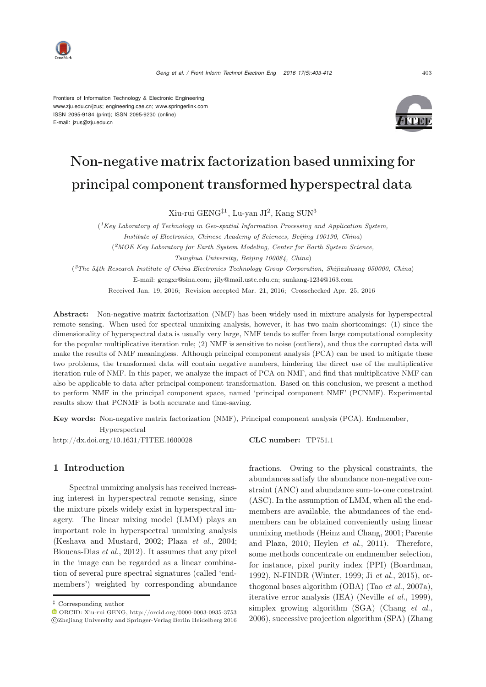

Frontiers of Information Technology & Electronic Engineering www.zju.edu.cn/jzus; engineering.cae.cn; www.springerlink.com ISSN 2095-9184 (print); ISSN 2095-9230 (online) E-mail: jzus@zju.edu.cn



# Non-negative matrix factorization based unmixing for principal component transformed hyperspectral data

Xiu-rui GENG‡<sup>1</sup>, Lu-yan JI<sup>2</sup>, Kang SUN<sup>3</sup>

(*1Key Laboratory of Technology in Geo-spatial Information Processing and Application System, Institute of Electronics, Chinese Academy of Sciences, Beijing 100190, China*) (*2MOE Key Laboratory for Earth System Modeling, Center for Earth System Science, Tsinghua University, Beijing 100084, China*) (*3The 54th Research Institute of China Electronics Technology Group Corporation, Shijiazhuang 050000, China*)

E-mail: gengxr@sina.com; jily@mail.ustc.edu.cn; sunkang-1234@163.com Received Jan. 19, 2016; Revision accepted Mar. 21, 2016; Crosschecked Apr. 25, 2016

Abstract: Non-negative matrix factorization (NMF) has been widely used in mixture analysis for hyperspectral remote sensing. When used for spectral unmixing analysis, however, it has two main shortcomings: (1) since the dimensionality of hyperspectral data is usually very large, NMF tends to suffer from large computational complexity for the popular multiplicative iteration rule; (2) NMF is sensitive to noise (outliers), and thus the corrupted data will make the results of NMF meaningless. Although principal component analysis (PCA) can be used to mitigate these two problems, the transformed data will contain negative numbers, hindering the direct use of the multiplicative iteration rule of NMF. In this paper, we analyze the impact of PCA on NMF, and find that multiplicative NMF can also be applicable to data after principal component transformation. Based on this conclusion, we present a method to perform NMF in the principal component space, named 'principal component NMF' (PCNMF). Experimental results show that PCNMF is both accurate and time-saving.

Key words: Non-negative matrix factorization (NMF), Principal component analysis (PCA), Endmember, Hyperspectral

http://dx.doi.org/10.1631/FITEE.1600028 CLC number: TP751.1

# 1 Introduction

Spectral unmixing analysis has received increasing interest in hyperspectral remote sensing, since the mixture pixels widely exist in hyperspectral imagery. The linear mixing model (LMM) plays an important role in hyperspectral unmixing analysis (Keshava and Mustard, 2002; Plaza *et al.*, 2004; Bioucas-Dias *et al.*, 2012). It assumes that any pixel in the image can be regarded as a linear combination of several pure spectral signatures (called 'endmembers') weighted by corresponding abundance

fractions. Owing to the physical constraints, the abundances satisfy the abundance non-negative constraint (ANC) and abundance sum-to-one constraint (ASC). In the assumption of LMM, when all the endmembers are available, the abundances of the endmembers can be obtained conveniently using linear unmixing methods (Heinz and Chang, 2001; Parente and Plaza, 2010; Heylen *et al.*, 2011). Therefore, some methods concentrate on endmember selection, for instance, pixel purity index (PPI) (Boardman, 1992), N-FINDR (Winter, 1999; Ji *et al.*, 2015), orthogonal bases algorithm (OBA) (Tao *et al.*, 2007a), iterative error analysis (IEA) (Neville *et al.*, 1999), simplex growing algorithm (SGA) (Chang *et al.*, 2006), successive projection algorithm (SPA) (Zhang

*<sup>‡</sup>* Corresponding author

ORCID: Xiu-rui GENG, http://orcid.org/0000-0003-0935-3753 -c Zhejiang University and Springer-Verlag Berlin Heidelberg 2016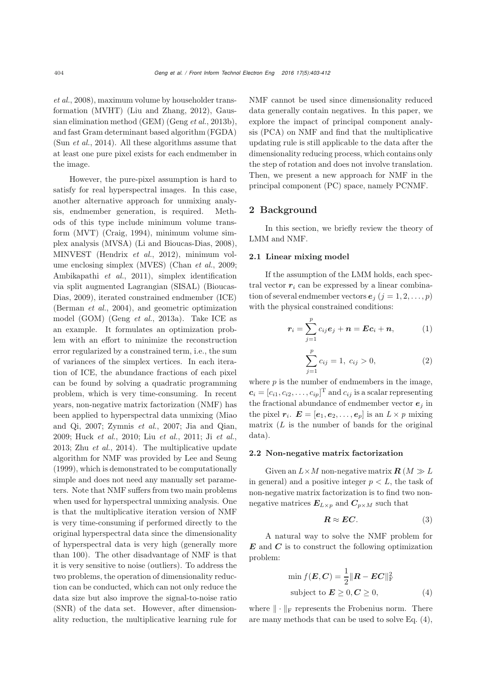*et al.*, 2008), maximum volume by householder transformation (MVHT) (Liu and Zhang, 2012), Gaussian elimination method (GEM) (Geng *et al.*, 2013b), and fast Gram determinant based algorithm (FGDA) (Sun *et al.*, 2014). All these algorithms assume that at least one pure pixel exists for each endmember in the image.

However, the pure-pixel assumption is hard to satisfy for real hyperspectral images. In this case, another alternative approach for unmixing analysis, endmember generation, is required. Methods of this type include minimum volume transform (MVT) (Craig, 1994), minimum volume simplex analysis (MVSA) (Li and Bioucas-Dias, 2008), MINVEST (Hendrix *et al.*, 2012), minimum volume enclosing simplex (MVES) (Chan *et al.*, 2009; Ambikapathi *et al.*, 2011), simplex identification via split augmented Lagrangian (SISAL) (Bioucas-Dias, 2009), iterated constrained endmember (ICE) (Berman *et al.*, 2004), and geometric optimization model (GOM) (Geng *et al.*, 2013a). Take ICE as an example. It formulates an optimization problem with an effort to minimize the reconstruction error regularized by a constrained term, i.e., the sum of variances of the simplex vertices. In each iteration of ICE, the abundance fractions of each pixel can be found by solving a quadratic programming problem, which is very time-consuming. In recent years, non-negative matrix factorization (NMF) has been applied to hyperspectral data unmixing (Miao and Qi, 2007; Zymnis *et al.*, 2007; Jia and Qian, 2009; Huck *et al.*, 2010; Liu *et al.*, 2011; Ji *et al.*, 2013; Zhu *et al.*, 2014). The multiplicative update algorithm for NMF was provided by Lee and Seung (1999), which is demonstrated to be computationally simple and does not need any manually set parameters. Note that NMF suffers from two main problems when used for hyperspectral unmixing analysis. One is that the multiplicative iteration version of NMF is very time-consuming if performed directly to the original hyperspectral data since the dimensionality of hyperspectral data is very high (generally more than 100). The other disadvantage of NMF is that it is very sensitive to noise (outliers). To address the two problems, the operation of dimensionality reduction can be conducted, which can not only reduce the data size but also improve the signal-to-noise ratio (SNR) of the data set. However, after dimensionality reduction, the multiplicative learning rule for

NMF cannot be used since dimensionality reduced data generally contain negatives. In this paper, we explore the impact of principal component analysis (PCA) on NMF and find that the multiplicative updating rule is still applicable to the data after the dimensionality reducing process, which contains only the step of rotation and does not involve translation. Then, we present a new approach for NMF in the principal component (PC) space, namely PCNMF.

# 2 Background

In this section, we briefly review the theory of LMM and NMF.

## 2.1 Linear mixing model

If the assumption of the LMM holds, each spectral vector  $r_i$  can be expressed by a linear combination of several endmember vectors  $e_j$   $(j = 1, 2, \ldots, p)$ with the physical constrained conditions:

$$
\boldsymbol{r}_i = \sum_{j=1}^p c_{ij} \boldsymbol{e}_j + \boldsymbol{n} = \boldsymbol{E} \boldsymbol{c}_i + \boldsymbol{n}, \qquad (1)
$$

$$
\sum_{j=1}^{p} c_{ij} = 1, \ c_{ij} > 0,
$$
\n(2)

where  $p$  is the number of endmembers in the image,  $c_i = [c_{i1}, c_{i2}, \ldots, c_{ip}]$ <sup>T</sup> and  $c_{ij}$  is a scalar representing the fractional abundance of endmember vector  $e_j$  in the pixel  $r_i$ .  $\mathbf{E} = [\mathbf{e}_1, \mathbf{e}_2, \dots, \mathbf{e}_p]$  is an  $L \times p$  mixing matrix  $(L$  is the number of bands for the original data).

## 2.2 Non-negative matrix factorization

Given an  $L \times M$  non-negative matrix  $\boldsymbol{R}$  ( $M \gg L$ in general) and a positive integer  $p < L$ , the task of non-negative matrix factorization is to find two nonnegative matrices  $E_{L\times p}$  and  $C_{p\times M}$  such that

$$
R \approx EC.\tag{3}
$$

A natural way to solve the NMF problem for *E* and *C* is to construct the following optimization problem:

$$
\min f(\boldsymbol{E}, \boldsymbol{C}) = \frac{1}{2} ||\boldsymbol{R} - \boldsymbol{E}\boldsymbol{C}||_{\text{F}}^2
$$
  
subject to  $\boldsymbol{E} \ge 0, \boldsymbol{C} \ge 0,$  (4)

where  $\|\cdot\|_F$  represents the Frobenius norm. There are many methods that can be used to solve Eq. (4),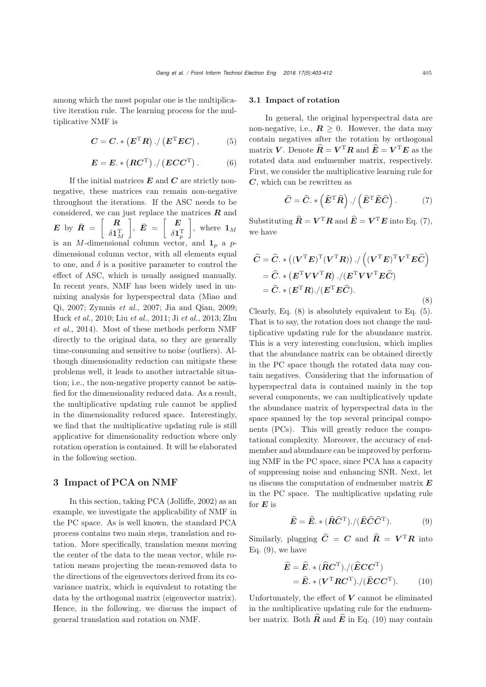among which the most popular one is the multiplicative iteration rule. The learning process for the multiplicative NMF is

$$
C = C. * (ET R) . / (ET EC) , \t(5)
$$

$$
E = E. * (RCT) . / (ECCT) . \t(6)
$$

If the initial matrices *E* and *C* are strictly nonnegative, these matrices can remain non-negative throughout the iterations. If the ASC needs to be considered, we can just replace the matrices *R* and *E* by  $\bar{R} = \begin{bmatrix} R \\ s_1 \end{bmatrix}$  $\delta\mathbf{1}_M^{\text{T}}$  $\Big\},\ \bar{E}\ =\ \Big[\begin{array}{c} E\ \frac{\epsilon_1}{2} \end{array}$  $\delta\mathbf{1}_p^{\text{T}}$  $\Big\},\$  where  $\mathbf{1}_M$ is an M-dimensional column vector, and  $\mathbf{1}_p$  a pdimensional column vector, with all elements equal to one, and  $\delta$  is a positive parameter to control the effect of ASC, which is usually assigned manually. In recent years, NMF has been widely used in unmixing analysis for hyperspectral data (Miao and Qi, 2007; Zymnis *et al.*, 2007; Jia and Qian, 2009; Huck *et al.*, 2010; Liu *et al.*, 2011; Ji *et al.*, 2013; Zhu *et al.*, 2014). Most of these methods perform NMF directly to the original data, so they are generally time-consuming and sensitive to noise (outliers). Although dimensionality reduction can mitigate these problems well, it leads to another intractable situation; i.e., the non-negative property cannot be satisfied for the dimensionality reduced data. As a result, the multiplicative updating rule cannot be applied in the dimensionality reduced space. Interestingly, we find that the multiplicative updating rule is still applicative for dimensionality reduction where only rotation operation is contained. It will be elaborated in the following section.

## 3 Impact of PCA on NMF

In this section, taking PCA (Jolliffe, 2002) as an example, we investigate the applicability of NMF in the PC space. As is well known, the standard PCA process contains two main steps, translation and rotation. More specifically, translation means moving the center of the data to the mean vector, while rotation means projecting the mean-removed data to the directions of the eigenvectors derived from its covariance matrix, which is equivalent to rotating the data by the orthogonal matrix (eigenvector matrix). Hence, in the following, we discuss the impact of general translation and rotation on NMF.

## 3.1 Impact of rotation

In general, the original hyperspectral data are non-negative, i.e.,  $\mathbf{R} \geq 0$ . However, the data may contain negatives after the rotation by orthogonal matrix *V*. Denote  $\widehat{R} = V^{\mathrm{T}} R$  and  $\widehat{E} = V^{\mathrm{T}} E$  as the rotated data and endmember matrix, respectively. First, we consider the multiplicative learning rule for *C*, which can be rewritten as

$$
\hat{C} = \hat{C}.\ast(\hat{E}^{\mathrm{T}}\hat{R})./(\hat{E}^{\mathrm{T}}\hat{E}\hat{C}).\tag{7}
$$

Substituting  $\hat{\mathbf{R}} = \mathbf{V}^{\mathrm{T}} \mathbf{R}$  and  $\hat{\mathbf{E}} = \mathbf{V}^{\mathrm{T}} \mathbf{E}$  into Eq. (7), we have

$$
\hat{C} = \hat{C}.* ((V^{\mathrm{T}}E)^{\mathrm{T}}(V^{\mathrm{T}}R))./ ((V^{\mathrm{T}}E)^{\mathrm{T}}V^{\mathrm{T}}E\hat{C})
$$
  
=  $\hat{C}.* (E^{\mathrm{T}}VV^{\mathrm{T}}R)./(E^{\mathrm{T}}VV^{\mathrm{T}}E\hat{C})$   
=  $\hat{C}.* (E^{\mathrm{T}}R)./(E^{\mathrm{T}}E\hat{C}).$  (8)

Clearly, Eq. (8) is absolutely equivalent to Eq. (5). That is to say, the rotation does not change the multiplicative updating rule for the abundance matrix. This is a very interesting conclusion, which implies that the abundance matrix can be obtained directly in the PC space though the rotated data may contain negatives. Considering that the information of hyperspectral data is contained mainly in the top several components, we can multiplicatively update the abundance matrix of hyperspectral data in the space spanned by the top several principal components (PCs). This will greatly reduce the computational complexity. Moreover, the accuracy of endmember and abundance can be improved by performing NMF in the PC space, since PCA has a capacity of suppressing noise and enhancing SNR. Next, let us discuss the computation of endmember matrix *E* in the PC space. The multiplicative updating rule for  $E$  is

$$
\widehat{E} = \widehat{E} \cdot * (\widehat{R}\widehat{C}^{\mathrm{T}}) / (\widehat{E}\widehat{C}\widehat{C}^{\mathrm{T}}).
$$
 (9)

Similarly, plugging  $\hat{C} = C$  and  $\hat{R} = V^{T}R$  into Eq.  $(9)$ , we have

$$
\hat{E} = \hat{E} \cdot * (\hat{R}C^{\mathrm{T}}) \cdot / (\hat{E}CC^{\mathrm{T}})
$$
  
=  $\hat{E} \cdot * (V^{\mathrm{T}}RC^{\mathrm{T}}) \cdot / (\hat{E}CC^{\mathrm{T}}).$  (10)

Unfortunately, the effect of  $V$  cannot be eliminated in the multiplicative updating rule for the endmember matrix. Both  $\hat{\mathbf{R}}$  and  $\hat{\mathbf{E}}$  in Eq. (10) may contain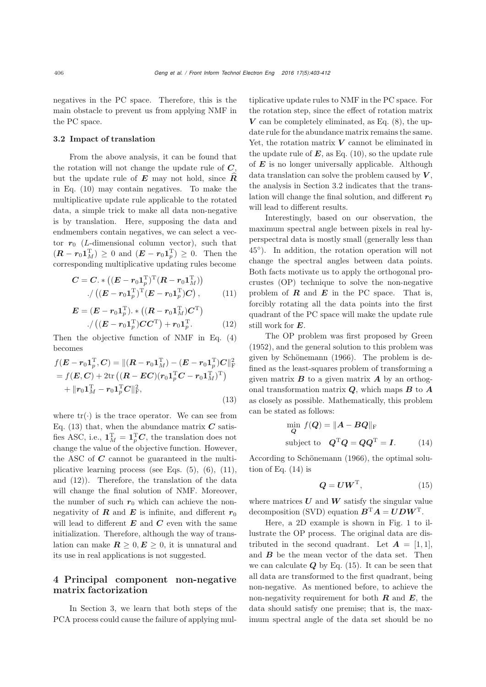negatives in the PC space. Therefore, this is the main obstacle to prevent us from applying NMF in the PC space.

## 3.2 Impact of translation

From the above analysis, it can be found that the rotation will not change the update rule of *C*, but the update rule of *<sup>E</sup>* may not hold, since *<sup>R</sup>* in Eq. (10) may contain negatives. To make the multiplicative update rule applicable to the rotated data, a simple trick to make all data non-negative is by translation. Here, supposing the data and endmembers contain negatives, we can select a vector  $r_0$  (*L*-dimensional column vector), such that  $(R - r_0 \mathbf{1}_M^{\mathrm{T}}) \ge 0$  and  $(E - r_0 \mathbf{1}_p^{\mathrm{T}}) \ge 0$ . Then the corresponding multiplicative updating rules become

$$
C = C. * ((E - r_0 1_p^{\mathrm{T}})^{\mathrm{T}} (R - r_0 1_M^{\mathrm{T}}))
$$

$$
./ ((E - r_0 1_p^{\mathrm{T}})^{\mathrm{T}} (E - r_0 1_p^{\mathrm{T}}) C), \qquad (11)
$$

$$
E = (E - r_0 \mathbf{1}_p^{\mathrm{T}}) \cdot * ((R - r_0 \mathbf{1}_M^{\mathrm{T}}) C^{\mathrm{T}})
$$
  
. / ((E - r\_0 \mathbf{1}\_p^{\mathrm{T}}) C C^{\mathrm{T}}) + r\_0 \mathbf{1}\_p^{\mathrm{T}}. (12)

Then the objective function of NMF in Eq. (4) becomes

$$
f(\boldsymbol{E} - \boldsymbol{r}_0 \mathbf{1}_p^{\mathrm{T}}, \boldsymbol{C}) = ||(\boldsymbol{R} - \boldsymbol{r}_0 \mathbf{1}_M^{\mathrm{T}}) - (\boldsymbol{E} - \boldsymbol{r}_0 \mathbf{1}_p^{\mathrm{T}}) \boldsymbol{C}||_{\mathrm{F}}^2
$$
  
=  $f(\boldsymbol{E}, \boldsymbol{C}) + 2 \text{tr} ((\boldsymbol{R} - \boldsymbol{E}\boldsymbol{C})(\boldsymbol{r}_0 \mathbf{1}_p^{\mathrm{T}} \boldsymbol{C} - \boldsymbol{r}_0 \mathbf{1}_M^{\mathrm{T}})^{\mathrm{T}})$   
+  $||\boldsymbol{r}_0 \mathbf{1}_M^{\mathrm{T}} - \boldsymbol{r}_0 \mathbf{1}_p^{\mathrm{T}} \boldsymbol{C}||_{\mathrm{F}}^2,$  (13)

where  $tr(\cdot)$  is the trace operator. We can see from Eq. (13) that, when the abundance matrix  $C$  satisfies ASC, i.e.,  $\mathbf{1}_M^{\mathrm{T}} = \mathbf{1}_p^{\mathrm{T}} C$ , the translation does not change the value of the objective function. However, the ASC of *C* cannot be guaranteed in the multiplicative learning process (see Eqs.  $(5)$ ,  $(6)$ ,  $(11)$ , and (12)). Therefore, the translation of the data will change the final solution of NMF. Moreover, the number of such  $r_0$  which can achieve the nonnegativity of *R* and *E* is infinite, and different  $r_0$ will lead to different  $E$  and  $C$  even with the same initialization. Therefore, although the way of translation can make  $\mathbf{R} \geq 0, \mathbf{E} \geq 0$ , it is unnatural and its use in real applications is not suggested.

# 4 Principal component non-negative matrix factorization

In Section 3, we learn that both steps of the PCA process could cause the failure of applying multiplicative update rules to NMF in the PC space. For the rotation step, since the effect of rotation matrix  $V$  can be completely eliminated, as Eq.  $(8)$ , the update rule for the abundance matrix remains the same. Yet, the rotation matrix *V* cannot be eliminated in the update rule of  $E$ , as Eq.  $(10)$ , so the update rule of *E* is no longer universally applicable. Although data translation can solve the problem caused by *V* , the analysis in Section 3.2 indicates that the translation will change the final solution, and different  $r_0$ will lead to different results.

Interestingly, based on our observation, the maximum spectral angle between pixels in real hyperspectral data is mostly small (generally less than 45◦). In addition, the rotation operation will not change the spectral angles between data points. Both facts motivate us to apply the orthogonal procrustes (OP) technique to solve the non-negative problem of  $R$  and  $E$  in the PC space. That is, forcibly rotating all the data points into the first quadrant of the PC space will make the update rule still work for *E*.

The OP problem was first proposed by Green (1952), and the general solution to this problem was given by Schönemann (1966). The problem is defined as the least-squares problem of transforming a given matrix  $\boldsymbol{B}$  to a given matrix  $\boldsymbol{A}$  by an orthogonal transformation matrix *Q*, which maps *B* to *A* as closely as possible. Mathematically, this problem can be stated as follows:

$$
\min_{\mathbf{Q}} f(\mathbf{Q}) = \|\mathbf{A} - \mathbf{B}\mathbf{Q}\|_{\mathrm{F}}
$$
  
subject to 
$$
\mathbf{Q}^{\mathrm{T}}\mathbf{Q} = \mathbf{Q}\mathbf{Q}^{\mathrm{T}} = \mathbf{I}.
$$
 (14)

According to Schönemann (1966), the optimal solution of Eq.  $(14)$  is

$$
Q = U W^{\mathrm{T}}, \tag{15}
$$

where matrices *U* and *W* satisfy the singular value decomposition (SVD) equation  $B^T A = U D W^T$ .

Here, a 2D example is shown in Fig. 1 to illustrate the OP process. The original data are distributed in the second quadrant. Let  $A = \begin{bmatrix} 1 & 1 \end{bmatrix}$ , and *B* be the mean vector of the data set. Then we can calculate  $Q$  by Eq. (15). It can be seen that all data are transformed to the first quadrant, being non-negative. As mentioned before, to achieve the non-negativity requirement for both  $\bm{R}$  and  $\bm{E}$ , the data should satisfy one premise; that is, the maximum spectral angle of the data set should be no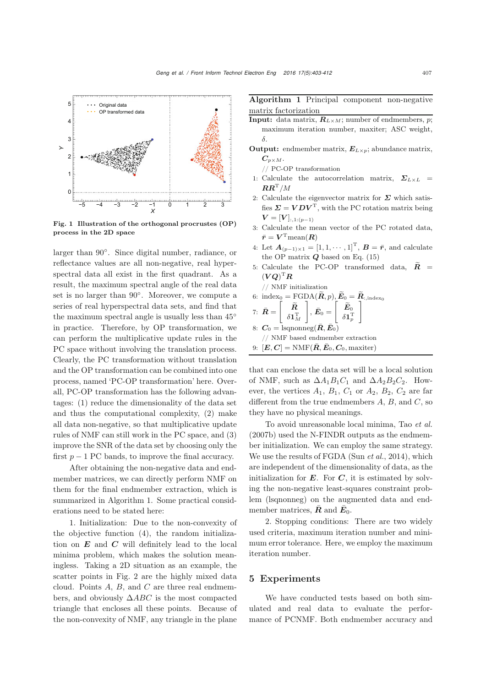

Fig. 1 Illustration of the orthogonal procrustes (OP) process in the 2D space

larger than 90◦. Since digital number, radiance, or reflectance values are all non-negative, real hyperspectral data all exist in the first quadrant. As a result, the maximum spectral angle of the real data set is no larger than 90◦. Moreover, we compute a series of real hyperspectral data sets, and find that the maximum spectral angle is usually less than 45◦ in practice. Therefore, by OP transformation, we can perform the multiplicative update rules in the PC space without involving the translation process. Clearly, the PC transformation without translation and the OP transformation can be combined into one process, named 'PC-OP transformation' here. Overall, PC-OP transformation has the following advantages: (1) reduce the dimensionality of the data set and thus the computational complexity, (2) make all data non-negative, so that multiplicative update rules of NMF can still work in the PC space, and (3) improve the SNR of the data set by choosing only the first  $p - 1$  PC bands, to improve the final accuracy.

After obtaining the non-negative data and endmember matrices, we can directly perform NMF on them for the final endmember extraction, which is summarized in Algorithm 1. Some practical considerations need to be stated here:

1. Initialization: Due to the non-convexity of the objective function (4), the random initialization on *E* and *C* will definitely lead to the local minima problem, which makes the solution meaningless. Taking a 2D situation as an example, the scatter points in Fig. 2 are the highly mixed data cloud. Points  $A$ ,  $B$ , and  $C$  are three real endmembers, and obviously  $\triangle ABC$  is the most compacted triangle that encloses all these points. Because of the non-convexity of NMF, any triangle in the plane

Algorithm 1 Principal component non-negative matrix factorization

- **Input:** data matrix,  $\mathbf{R}_{L\times M}$ ; number of endmembers, p; maximum iteration number, maxiter; ASC weight, δ.
- Output: endmember matrix, *<sup>E</sup><sup>L</sup>×<sup>p</sup>*; abundance matrix,  $C_{p \times M}$ .

// PC-OP transformation

- 1: Calculate the autocorrelation matrix,  $\Sigma_{L \times L}$  =  $\boldsymbol{R}\boldsymbol{R}^\mathrm{T}/M$
- 2: Calculate the eigenvector matrix for  $\Sigma$  which satisfies  $\Sigma = VDV^T$ , with the PC rotation matrix being  $V = [V]_{:,1:(p-1)}$
- 3: Calculate the mean vector of the PC rotated data,  $\bar{r} = V^{\mathrm{T}}$ mean $(R)$
- 4: Let  $A_{(p-1)\times 1} = [1, 1, \cdots, 1]^{\mathrm{T}}, B = \bar{r}$ , and calculate the OP matrix *Q* based on Eq. (15) 3: Calculate the mean vector of the PC rotated d<br>  $\bar{r} = \mathbf{V}^{\mathrm{T}} \text{mean}(\mathbf{R})$ <br>
4: Let  $\mathbf{A}_{(p-1)\times 1} = [1, 1, \dots, 1]^{\mathrm{T}}$ ,  $\mathbf{B} = \bar{r}$ , and calcu<br>
the OP matrix  $\mathbf{Q}$  based on Eq. (15)<br>
5: Calculate the PC-OP tran
- 5: Calculate the PC-OP transformed data,  $\widetilde{R}$  =  $(\boldsymbol{V}\boldsymbol{Q})^{\mathrm{T}}\boldsymbol{R}$ the OP matrix **Q** based on Eq. (15)<br>
5: Calculate the PC-OP transformed<br>  $(\boldsymbol{VQ})^{\mathrm{T}} \boldsymbol{R}$ <br>
// NMF initialization<br>
6: index<sub>0</sub> = FGDA( $\widetilde{\boldsymbol{R}}, p$ ),  $\widetilde{\boldsymbol{E}}_0 = \widetilde{\boldsymbol{R}}_{:, \text{index}}$
- // NMF initialization  $\left[\begin{array}{cc} \widetilde{\bm{R}} \ \varepsilon_{\texttt{1}}\ \mathrm{T} \end{array}\right],\, \bar{\bm{E}}_0 = \left[\begin{array}{cc} \widetilde{\bm{E}}_0 \ \varepsilon_{\texttt{1}}\ \mathrm{T} \end{array}\right]$ e<br>*R*-ini<br> $\widetilde{R}$ tı<br>0<br> $\widetilde{\tilde{E}}$

7: 
$$
\bar{R} = \begin{bmatrix} R \\ \delta \mathbf{1}_M^{\mathrm{T}} \end{bmatrix}, \bar{E}_0 = \begin{bmatrix} E_0 \\ \delta \mathbf{1}_p^{\mathrm{T}} \end{bmatrix}
$$
  
8:  $C_0 = \text{lsqnonneg}(\bar{R}, \bar{E}_0)$   
// NMF based endmember extraction

9:  $[\mathbf{E}, \mathbf{C}] = \text{NMF}(\bar{\mathbf{R}}, \bar{\mathbf{E}}_0, \mathbf{C}_0, \text{maxiter})$ 

that can enclose the data set will be a local solution of NMF, such as  $\Delta A_1 B_1 C_1$  and  $\Delta A_2 B_2 C_2$ . However, the vertices  $A_1$ ,  $B_1$ ,  $C_1$  or  $A_2$ ,  $B_2$ ,  $C_2$  are far different from the true endmembers  $A, B$ , and  $C$ , so they have no physical meanings.

To avoid unreasonable local minima, Tao *et al.* (2007b) used the N-FINDR outputs as the endmember initialization. We can employ the same strategy. We use the results of FGDA (Sun *et al.*, 2014), which are independent of the dimensionality of data, as the initialization for  $E$ . For  $C$ , it is estimated by solving the non-negative least-squares constraint problem (lsqnonneg) on the augmented data and endmember matrices,  $\boldsymbol{R}$  and  $\boldsymbol{E}_0$ .

2. Stopping conditions: There are two widely used criteria, maximum iteration number and minimum error tolerance. Here, we employ the maximum iteration number.

## 5 Experiments

We have conducted tests based on both simulated and real data to evaluate the performance of PCNMF. Both endmember accuracy and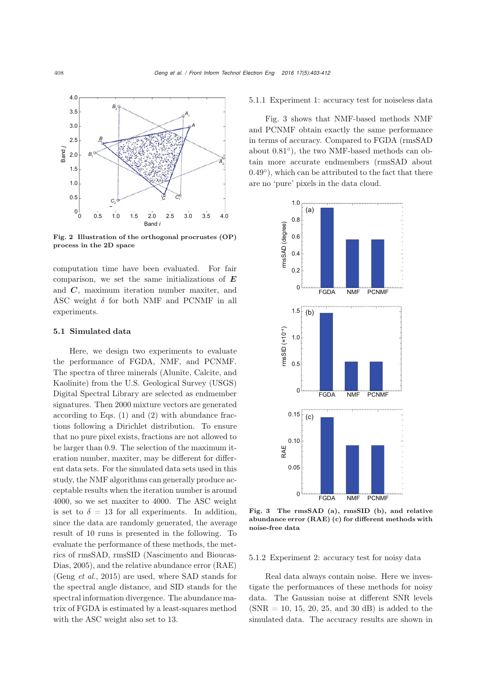

Fig. 2 Illustration of the orthogonal procrustes (OP) process in the 2D space

computation time have been evaluated. For fair comparison, we set the same initializations of *E* and *C*, maximum iteration number maxiter, and ASC weight  $\delta$  for both NMF and PCNMF in all experiments.

#### 5.1 Simulated data

Here, we design two experiments to evaluate the performance of FGDA, NMF, and PCNMF. The spectra of three minerals (Alunite, Calcite, and Kaolinite) from the U.S. Geological Survey (USGS) Digital Spectral Library are selected as endmember signatures. Then 2000 mixture vectors are generated according to Eqs. (1) and (2) with abundance fractions following a Dirichlet distribution. To ensure that no pure pixel exists, fractions are not allowed to be larger than 0.9. The selection of the maximum iteration number, maxiter, may be different for different data sets. For the simulated data sets used in this study, the NMF algorithms can generally produce acceptable results when the iteration number is around 4000, so we set maxiter to 4000. The ASC weight is set to  $\delta = 13$  for all experiments. In addition, since the data are randomly generated, the average result of 10 runs is presented in the following. To evaluate the performance of these methods, the metrics of rmsSAD, rmsSID (Nascimento and Bioucas-Dias, 2005), and the relative abundance error (RAE) (Geng *et al.*, 2015) are used, where SAD stands for the spectral angle distance, and SID stands for the spectral information divergence. The abundance matrix of FGDA is estimated by a least-squares method with the ASC weight also set to 13.

5.1.1 Experiment 1: accuracy test for noiseless data

Fig. 3 shows that NMF-based methods NMF and PCNMF obtain exactly the same performance in terms of accuracy. Compared to FGDA (rmsSAD about 0.81◦), the two NMF-based methods can obtain more accurate endmembers (rmsSAD about  $(0.49°)$ , which can be attributed to the fact that there are no 'pure' pixels in the data cloud.



Fig. 3 The rmsSAD (a), rmsSID (b), and relative abundance error (RAE) (c) for different methods with noise-free data

## 5.1.2 Experiment 2: accuracy test for noisy data

Real data always contain noise. Here we investigate the performances of these methods for noisy data. The Gaussian noise at different SNR levels  $(SNR = 10, 15, 20, 25, and 30 dB)$  is added to the simulated data. The accuracy results are shown in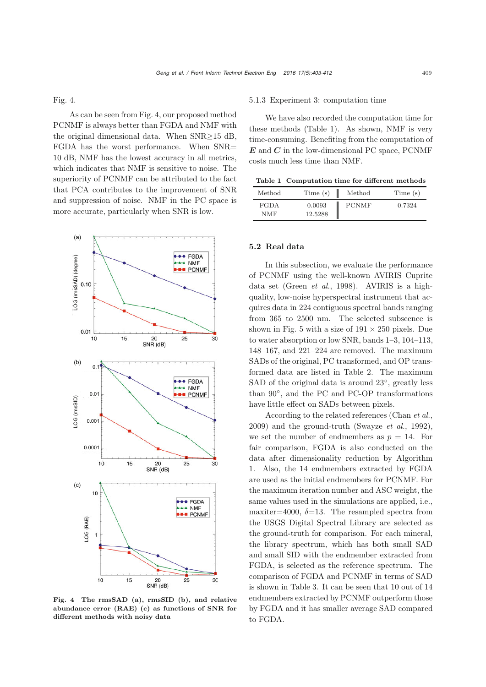Fig. 4.

As can be seen from Fig. 4, our proposed method PCNMF is always better than FGDA and NMF with the original dimensional data. When SNR≥15 dB, FGDA has the worst performance. When SNR= 10 dB, NMF has the lowest accuracy in all metrics, which indicates that NMF is sensitive to noise. The superiority of PCNMF can be attributed to the fact that PCA contributes to the improvement of SNR and suppression of noise. NMF in the PC space is more accurate, particularly when SNR is low.



Fig. 4 The rmsSAD (a), rmsSID (b), and relative abundance error (RAE) (c) as functions of SNR for different methods with noisy data

#### 5.1.3 Experiment 3: computation time

We have also recorded the computation time for these methods (Table 1). As shown, NMF is very time-consuming. Benefiting from the computation of *E* and *C* in the low-dimensional PC space, PCNMF costs much less time than NMF.

Table 1 Computation time for different methods

| Method             | Time(s)           | Method       | Time (s) |
|--------------------|-------------------|--------------|----------|
| <b>FGDA</b><br>NMF | 0.0093<br>12.5288 | <b>PCNMF</b> | 0.7324   |

#### 5.2 Real data

In this subsection, we evaluate the performance of PCNMF using the well-known AVIRIS Cuprite data set (Green *et al.*, 1998). AVIRIS is a highquality, low-noise hyperspectral instrument that acquires data in 224 contiguous spectral bands ranging from 365 to 2500 nm. The selected subscence is shown in Fig. 5 with a size of  $191 \times 250$  pixels. Due to water absorption or low SNR, bands 1–3, 104–113, 148–167, and 221–224 are removed. The maximum SADs of the original, PC transformed, and OP transformed data are listed in Table 2. The maximum SAD of the original data is around 23<sup>°</sup>, greatly less than 90◦, and the PC and PC-OP transformations have little effect on SADs between pixels.

According to the related references (Chan *et al.*, 2009) and the ground-truth (Swayze *et al.*, 1992), we set the number of endmembers as  $p = 14$ . For fair comparison, FGDA is also conducted on the data after dimensionality reduction by Algorithm 1. Also, the 14 endmembers extracted by FGDA are used as the initial endmembers for PCNMF. For the maximum iteration number and ASC weight, the same values used in the simulations are applied, i.e., maxiter=4000,  $\delta$ =13. The resampled spectra from the USGS Digital Spectral Library are selected as the ground-truth for comparison. For each mineral, the library spectrum, which has both small SAD and small SID with the endmember extracted from FGDA, is selected as the reference spectrum. The comparison of FGDA and PCNMF in terms of SAD is shown in Table 3. It can be seen that 10 out of 14 endmembers extracted by PCNMF outperform those by FGDA and it has smaller average SAD compared to FGDA.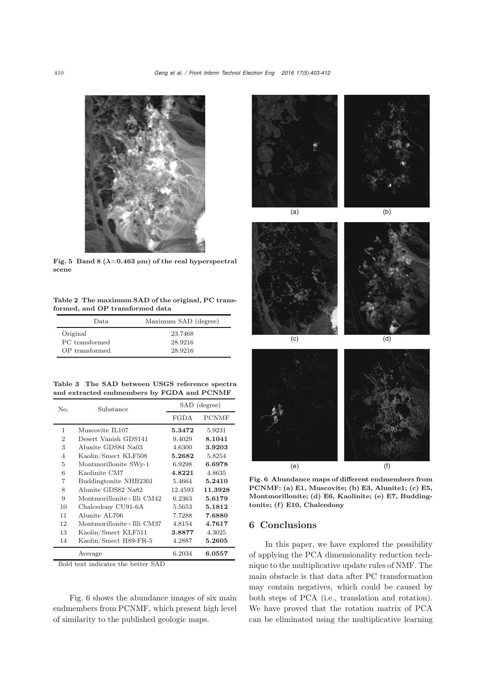

Fig. 5 Band 8  $(\lambda=0.463 \,\mu\text{m})$  of the real hyperspectral scene

Table 2 The maximum SAD of the original, PC transformed, and OP transformed data

| Data.          | Maximum SAD (degree) |
|----------------|----------------------|
| Original       | 23.7468              |
| PC transformed | 28.9216              |
| OP transformed | 28.9216              |

Table 3 The SAD between USGS reference spectra and extracted endmembers by FGDA and PCNMF

| No.            | Substance                 | SAD (degree) |              |  |
|----------------|---------------------------|--------------|--------------|--|
|                |                           | FGDA         | <b>PCNMF</b> |  |
| 1              | Muscovite IL107           | 5.3472       | 5.9231       |  |
| $\overline{2}$ | Desert Vanish GDS141      | 9.4029       | 8.1041       |  |
| 3              | Alunite GDS84 Na03        | 4.6300       | 3.9203       |  |
| 4              | Kaolin/Smect KLF508       | 5.2682       | 5.8254       |  |
| 5              | Montmorillonite SWy-1     | 6.9298       | 6.6978       |  |
| 6              | Kaolinite CM7             | 4.8221       | 4.8635       |  |
| 7              | Buddingtonite NHB2301     | 5.4664       | 5.2410       |  |
| 8              | Alunite GDS82 Na82        | 12.4593      | 11.3928      |  |
| 9              | Montmorillonite+Illi CM42 | 6.2363       | 5.6179       |  |
| 10             | Chalcedony CU91-6A        | 5.5653       | 5.1812       |  |
| 11             | Alunite AL706             | 7.7288       | 7.6880       |  |
| 12             | Montmorillonite+Illi CM37 | 4.8154       | 4.7617       |  |
| 13             | Kaolin/Smect KLF511       | 3.8877       | 4.3025       |  |
| 14             | Kaolin/Smect H89-FR-5     | 4.2887       | 5.2605       |  |
|                | Average                   | 6.2034       | 6.0557       |  |

Bold text indicates the better SAD

Fig. 6 shows the abundance images of six main endmembers from PCNMF, which present high level of similarity to the published geologic maps.







Fig. 6 Abundance maps of different endmembers from PCNMF: (a) E1, Muscovite; (b) E3, Alunite1; (c) E5, Montmorillonite; (d) E6, Kaolinite; (e) E7, Buddingtonite; (f) E10, Chalcedony

## 6 Conclusions

In this paper, we have explored the possibility of applying the PCA dimensionality reduction technique to the multiplicative update rules of NMF. The main obstacle is that data after PC transformation may contain negatives, which could be caused by both steps of PCA (i.e., translation and rotation). We have proved that the rotation matrix of PCA can be eliminated using the multiplicative learning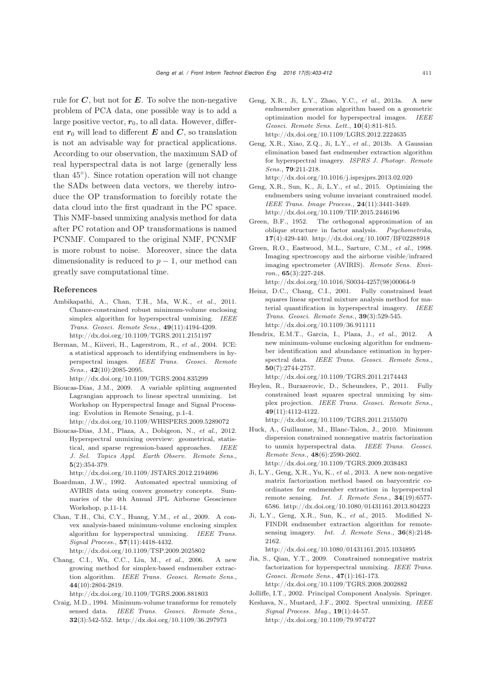rule for *C*, but not for *E*. To solve the non-negative problem of PCA data, one possible way is to add a large positive vector,  $r_0$ , to all data. However, different  $r_0$  will lead to different  $E$  and  $C$ , so translation is not an advisable way for practical applications. According to our observation, the maximum SAD of real hyperspectral data is not large (generally less than  $45°$ ). Since rotation operation will not change the SADs between data vectors, we thereby introduce the OP transformation to forcibly rotate the data cloud into the first quadrant in the PC space. This NMF-based unmixing analysis method for data after PC rotation and OP transformations is named PCNMF. Compared to the original NMF, PCNMF is more robust to noise. Moreover, since the data dimensionality is reduced to  $p-1$ , our method can greatly save computational time.

#### References

- Ambikapathi, A., Chan, T.H., Ma, W.K., *et al.*, 2011. Chance-constrained robust minimum-volume enclosing simplex algorithm for hyperspectral unmixing. *IEEE Trans. Geosci. Remote Sens.*, 49(11):4194-4209. http://dx.doi.org/10.1109/TGRS.2011.2151197
- Berman, M., Kiiveri, H., Lagerstrom, R., *et al.*, 2004. ICE: a statistical approach to identifying endmembers in hyperspectral images. *IEEE Trans. Geosci. Remote Sens.*, 42(10):2085-2095.

http://dx.doi.org/10.1109/TGRS.2004.835299

- Bioucas-Dias, J.M., 2009. A variable splitting augmented Lagrangian approach to linear spectral unmixing. 1st Workshop on Hyperspectral Image and Signal Processing: Evolution in Remote Sensing, p.1-4. http://dx.doi.org/10.1109/WHISPERS.2009.5289072
- Bioucas-Dias, J.M., Plaza, A., Dobigeon, N., *et al.*, 2012. Hyperspectral unmixing overview: geometrical, statistical, and sparse regression-based approaches. *IEEE J. Sel. Topics Appl. Earth Observ. Remote Sens.*, 5(2):354-379.

http://dx.doi.org/10.1109/JSTARS.2012.2194696

- Boardman, J.W., 1992. Automated spectral unmixing of AVIRIS data using convex geometry concepts. Summaries of the 4th Annual JPL Airborne Geoscience Workshop, p.11-14.
- Chan, T.H., Chi, C.Y., Huang, Y.M., *et al.*, 2009. A convex analysis-based minimum-volume enclosing simplex algorithm for hyperspectral unmixing. *IEEE Trans. Signal Process.*, 57(11):4418-4432. http://dx.doi.org/10.1109/TSP.2009.2025802
- Chang, C.I., Wu, C.C., Liu, M., *et al.*, 2006. A new growing method for simplex-based endmember extraction algorithm. *IEEE Trans. Geosci. Remote Sens.*, 44(10):2804-2819.

http://dx.doi.org/10.1109/TGRS.2006.881803

Craig, M.D., 1994. Minimum-volume transforms for remotely sensed data. *IEEE Trans. Geosci. Remote Sens.*, 32(3):542-552. http://dx.doi.org/10.1109/36.297973

- Geng, X.R., Ji, L.Y., Zhao, Y.C., *et al.*, 2013a. A new endmember generation algorithm based on a geometric optimization model for hyperspectral images. *IEEE Geosci. Remote Sens. Lett.*, 10(4):811-815. http://dx.doi.org/10.1109/LGRS.2012.2224635
- Geng, X.R., Xiao, Z.Q., Ji, L.Y., *et al.*, 2013b. A Gaussian elimination based fast endmember extraction algorithm for hyperspectral imagery. *ISPRS J. Photogr. Remote Sens.*, 79:211-218.
	- http://dx.doi.org/10.1016/j.isprsjprs.2013.02.020
- Geng, X.R., Sun, K., Ji, L.Y., *et al.*, 2015. Optimizing the endmembers using volume invariant constrained model. *IEEE Trans. Image Process.*, 24(11):3441-3449. http://dx.doi.org/10.1109/TIP.2015.2446196
- Green, B.F., 1952. The orthogonal approximation of an oblique structure in factor analysis. *Psychometrika*, 17(4):429-440. http://dx.doi.org/10.1007/BF02288918
- Green, R.O., Eastwood, M.L., Sarture, C.M., *et al.*, 1998. Imaging spectroscopy and the airborne visible/infrared imaging spectrometer (AVIRIS). *Remote Sens. Environ.*, 65(3):227-248. http://dx.doi.org/10.1016/S0034-4257(98)00064-9
- Heinz, D.C., Chang, C.I., 2001. Fully constrained least squares linear spectral mixture analysis method for material quantification in hyperspectral imagery. *IEEE Trans. Geosci. Remote Sens.*, 39(3):529-545. http://dx.doi.org/10.1109/36.911111
- Hendrix, E.M.T., Garcia, I., Plaza, J., *et al.*, 2012. A new minimum-volume enclosing algorithm for endmember identification and abundance estimation in hyperspectral data. *IEEE Trans. Geosci. Remote Sens.*, 50(7):2744-2757.

http://dx.doi.org/10.1109/TGRS.2011.2174443 Heylen, R., Burazerovic, D., Scheunders, P., 2011. Fully constrained least squares spectral unmixing by simplex projection. *IEEE Trans. Geosci. Remote Sens.*,

http://dx.doi.org/10.1109/TGRS.2011.2155070

49(11):4112-4122.

Huck, A., Guillaume, M., Blanc-Talon, J., 2010. Minimum dispersion constrained nonnegative matrix factorization to unmix hyperspectral data. *IEEE Trans. Geosci. Remote Sens.*, 48(6):2590-2602. http://dx.doi.org/10.1109/TGRS.2009.2038483

Ji, L.Y., Geng, X.R., Yu, K., *et al.*, 2013. A new non-negative matrix factorization method based on barycentric coordinates for endmember extraction in hyperspectral remote sensing. *Int. J. Remote Sens.*, 34(19):6577- 6586. http://dx.doi.org/10.1080/01431161.2013.804223

Ji, L.Y., Geng, X.R., Sun, K., *et al.*, 2015. Modified N-FINDR endmember extraction algorithm for remotesensing imagery. *Int. J. Remote Sens.*, 36(8):2148- 2162.

http://dx.doi.org/10.1080/01431161.2015.1034895

Jia, S., Qian, Y.T., 2009. Constrained nonnegative matrix factorization for hyperspectral unmixing. *IEEE Trans. Geosci. Remote Sens.*, 47(1):161-173. http://dx.doi.org/10.1109/TGRS.2008.2002882

Jolliffe, I.T., 2002. Principal Component Analysis. Springer.

Keshava, N., Mustard, J.F., 2002. Spectral unmixing. *IEEE Signal Process. Mag.*, 19(1):44-57. http://dx.doi.org/10.1109/79.974727